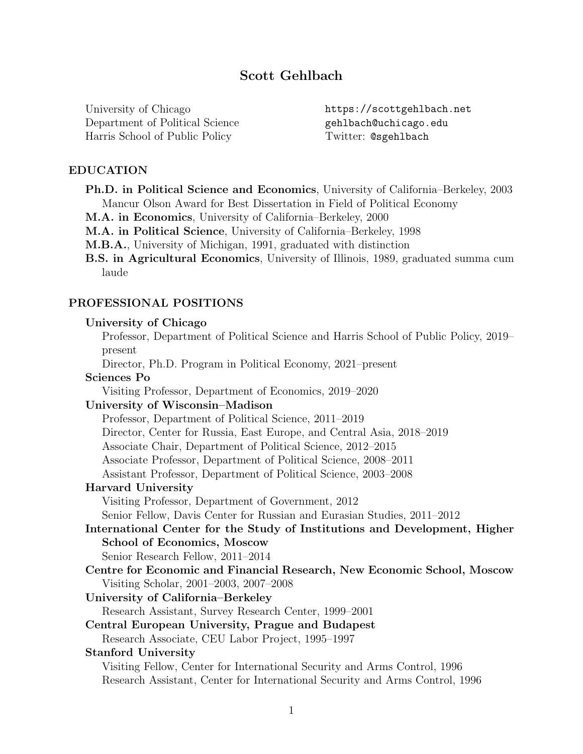# Scott Gehlbach

University of Chicago Department of Political Science Harris School of Public Policy

https://scottgehlbach.net gehlbach@uchicago.edu Twitter: @sgehlbach

#### EDUCATION

- Ph.D. in Political Science and Economics, University of California–Berkeley, 2003 Mancur Olson Award for Best Dissertation in Field of Political Economy
- M.A. in Economics, University of California–Berkeley, 2000
- M.A. in Political Science, University of California–Berkeley, 1998
- M.B.A., University of Michigan, 1991, graduated with distinction
- B.S. in Agricultural Economics, University of Illinois, 1989, graduated summa cum laude

### PROFESSIONAL POSITIONS

#### University of Chicago

Professor, Department of Political Science and Harris School of Public Policy, 2019– present

Director, Ph.D. Program in Political Economy, 2021–present

#### Sciences Po

Visiting Professor, Department of Economics, 2019–2020

#### University of Wisconsin–Madison

Professor, Department of Political Science, 2011–2019

Director, Center for Russia, East Europe, and Central Asia, 2018–2019

Associate Chair, Department of Political Science, 2012–2015

Associate Professor, Department of Political Science, 2008–2011

Assistant Professor, Department of Political Science, 2003–2008

#### Harvard University

Visiting Professor, Department of Government, 2012

Senior Fellow, Davis Center for Russian and Eurasian Studies, 2011–2012

# International Center for the Study of Institutions and Development, Higher School of Economics, Moscow

Senior Research Fellow, 2011–2014

Centre for Economic and Financial Research, New Economic School, Moscow Visiting Scholar, 2001–2003, 2007–2008

#### University of California–Berkeley

- Research Assistant, Survey Research Center, 1999–2001
- Central European University, Prague and Budapest
- Research Associate, CEU Labor Project, 1995–1997

#### Stanford University

Visiting Fellow, Center for International Security and Arms Control, 1996 Research Assistant, Center for International Security and Arms Control, 1996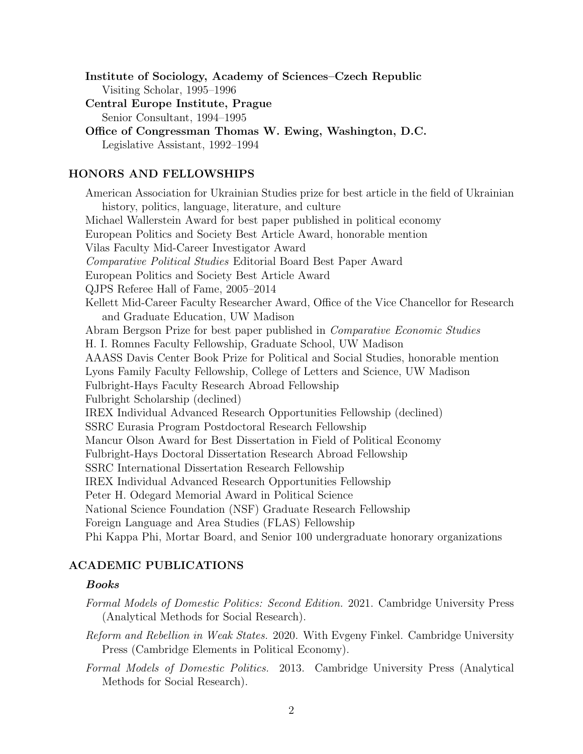Institute of Sociology, Academy of Sciences–Czech Republic Visiting Scholar, 1995–1996

Central Europe Institute, Prague Senior Consultant, 1994–1995

Office of Congressman Thomas W. Ewing, Washington, D.C. Legislative Assistant, 1992–1994

# HONORS AND FELLOWSHIPS

American Association for Ukrainian Studies prize for best article in the field of Ukrainian history, politics, language, literature, and culture Michael Wallerstein Award for best paper published in political economy European Politics and Society Best Article Award, honorable mention Vilas Faculty Mid-Career Investigator Award Comparative Political Studies Editorial Board Best Paper Award European Politics and Society Best Article Award QJPS Referee Hall of Fame, 2005–2014 Kellett Mid-Career Faculty Researcher Award, Office of the Vice Chancellor for Research and Graduate Education, UW Madison Abram Bergson Prize for best paper published in Comparative Economic Studies H. I. Romnes Faculty Fellowship, Graduate School, UW Madison AAASS Davis Center Book Prize for Political and Social Studies, honorable mention Lyons Family Faculty Fellowship, College of Letters and Science, UW Madison Fulbright-Hays Faculty Research Abroad Fellowship Fulbright Scholarship (declined) IREX Individual Advanced Research Opportunities Fellowship (declined) SSRC Eurasia Program Postdoctoral Research Fellowship Mancur Olson Award for Best Dissertation in Field of Political Economy Fulbright-Hays Doctoral Dissertation Research Abroad Fellowship SSRC International Dissertation Research Fellowship IREX Individual Advanced Research Opportunities Fellowship Peter H. Odegard Memorial Award in Political Science National Science Foundation (NSF) Graduate Research Fellowship Foreign Language and Area Studies (FLAS) Fellowship Phi Kappa Phi, Mortar Board, and Senior 100 undergraduate honorary organizations

# ACADEMIC PUBLICATIONS

#### Books

- Formal Models of Domestic Politics: Second Edition. 2021. Cambridge University Press (Analytical Methods for Social Research).
- Reform and Rebellion in Weak States. 2020. With Evgeny Finkel. Cambridge University Press (Cambridge Elements in Political Economy).
- Formal Models of Domestic Politics. 2013. Cambridge University Press (Analytical Methods for Social Research).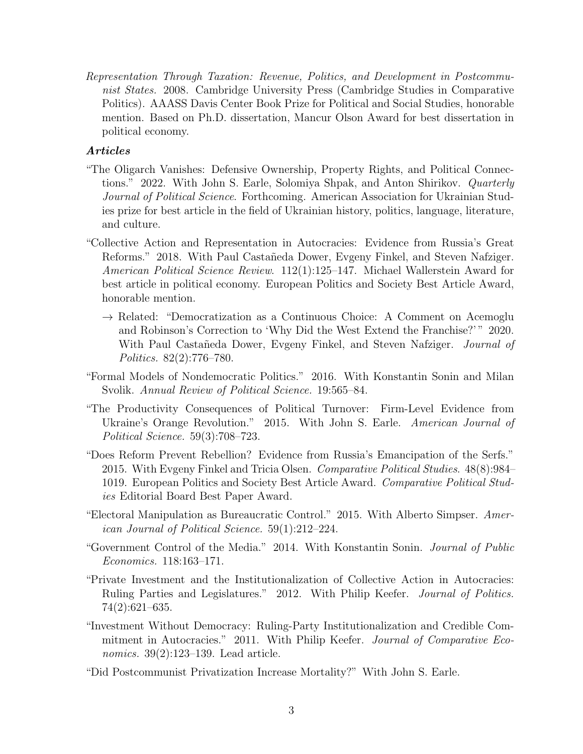Representation Through Taxation: Revenue, Politics, and Development in Postcommunist States. 2008. Cambridge University Press (Cambridge Studies in Comparative Politics). AAASS Davis Center Book Prize for Political and Social Studies, honorable mention. Based on Ph.D. dissertation, Mancur Olson Award for best dissertation in political economy.

# Articles

- "The Oligarch Vanishes: Defensive Ownership, Property Rights, and Political Connections." 2022. With John S. Earle, Solomiya Shpak, and Anton Shirikov. Quarterly Journal of Political Science. Forthcoming. American Association for Ukrainian Studies prize for best article in the field of Ukrainian history, politics, language, literature, and culture.
- "Collective Action and Representation in Autocracies: Evidence from Russia's Great Reforms." 2018. With Paul Castañeda Dower, Evgeny Finkel, and Steven Nafziger. American Political Science Review. 112(1):125–147. Michael Wallerstein Award for best article in political economy. European Politics and Society Best Article Award, honorable mention.
	- $\rightarrow$  Related: "Democratization as a Continuous Choice: A Comment on Acemoglu and Robinson's Correction to 'Why Did the West Extend the Franchise?' " 2020. With Paul Castañeda Dower, Evgeny Finkel, and Steven Nafziger. *Journal of* Politics. 82(2):776–780.
- "Formal Models of Nondemocratic Politics." 2016. With Konstantin Sonin and Milan Svolik. Annual Review of Political Science. 19:565–84.
- "The Productivity Consequences of Political Turnover: Firm-Level Evidence from Ukraine's Orange Revolution." 2015. With John S. Earle. American Journal of Political Science. 59(3):708–723.
- "Does Reform Prevent Rebellion? Evidence from Russia's Emancipation of the Serfs." 2015. With Evgeny Finkel and Tricia Olsen. Comparative Political Studies. 48(8):984– 1019. European Politics and Society Best Article Award. Comparative Political Studies Editorial Board Best Paper Award.
- "Electoral Manipulation as Bureaucratic Control." 2015. With Alberto Simpser. American Journal of Political Science. 59(1):212–224.
- "Government Control of the Media." 2014. With Konstantin Sonin. Journal of Public Economics. 118:163–171.
- "Private Investment and the Institutionalization of Collective Action in Autocracies: Ruling Parties and Legislatures." 2012. With Philip Keefer. Journal of Politics. 74(2):621–635.
- "Investment Without Democracy: Ruling-Party Institutionalization and Credible Commitment in Autocracies." 2011. With Philip Keefer. Journal of Comparative Economics. 39(2):123–139. Lead article.
- "Did Postcommunist Privatization Increase Mortality?" With John S. Earle.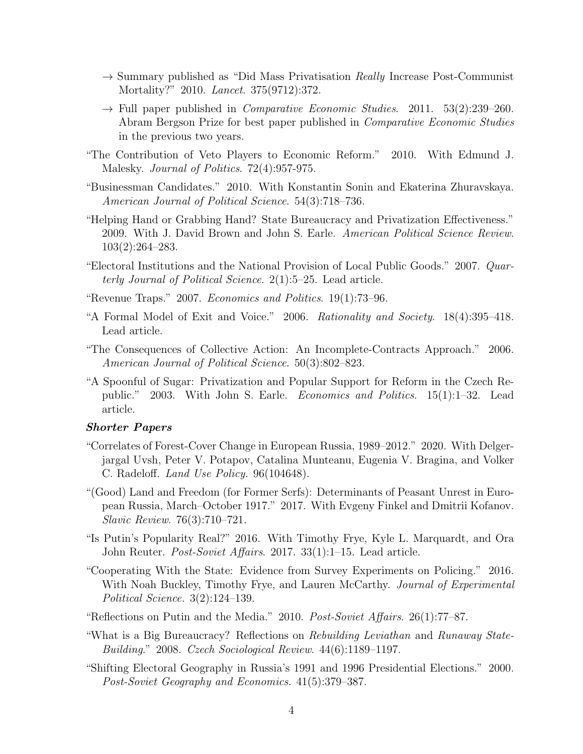- $\rightarrow$  Summary published as "Did Mass Privatisation Really Increase Post-Communist Mortality?" 2010. Lancet. 375(9712):372.
- $\rightarrow$  Full paper published in *Comparative Economic Studies.* 2011. 53(2):239–260. Abram Bergson Prize for best paper published in Comparative Economic Studies in the previous two years.
- "The Contribution of Veto Players to Economic Reform." 2010. With Edmund J. Malesky. Journal of Politics. 72(4):957-975.
- "Businessman Candidates." 2010. With Konstantin Sonin and Ekaterina Zhuravskaya. American Journal of Political Science. 54(3):718–736.
- "Helping Hand or Grabbing Hand? State Bureaucracy and Privatization Effectiveness." 2009. With J. David Brown and John S. Earle. American Political Science Review. 103(2):264–283.
- "Electoral Institutions and the National Provision of Local Public Goods." 2007. Quarterly Journal of Political Science. 2(1):5–25. Lead article.
- "Revenue Traps." 2007. Economics and Politics. 19(1):73–96.
- "A Formal Model of Exit and Voice." 2006. Rationality and Society. 18(4):395–418. Lead article.
- "The Consequences of Collective Action: An Incomplete-Contracts Approach." 2006. American Journal of Political Science. 50(3):802–823.
- "A Spoonful of Sugar: Privatization and Popular Support for Reform in the Czech Republic." 2003. With John S. Earle. Economics and Politics. 15(1):1–32. Lead article.

#### Shorter Papers

- "Correlates of Forest-Cover Change in European Russia, 1989–2012." 2020. With Delgerjargal Uvsh, Peter V. Potapov, Catalina Munteanu, Eugenia V. Bragina, and Volker C. Radeloff. Land Use Policy. 96(104648).
- "(Good) Land and Freedom (for Former Serfs): Determinants of Peasant Unrest in European Russia, March–October 1917." 2017. With Evgeny Finkel and Dmitrii Kofanov. Slavic Review. 76(3):710–721.
- "Is Putin's Popularity Real?" 2016. With Timothy Frye, Kyle L. Marquardt, and Ora John Reuter. Post-Soviet Affairs. 2017. 33(1):1–15. Lead article.
- "Cooperating With the State: Evidence from Survey Experiments on Policing." 2016. With Noah Buckley, Timothy Frye, and Lauren McCarthy. Journal of Experimental Political Science. 3(2):124–139.
- "Reflections on Putin and the Media." 2010. Post-Soviet Affairs.  $26(1)$ :77–87.
- "What is a Big Bureaucracy? Reflections on Rebuilding Leviathan and Runaway State-Building." 2008. Czech Sociological Review. 44(6):1189–1197.
- "Shifting Electoral Geography in Russia's 1991 and 1996 Presidential Elections." 2000. Post-Soviet Geography and Economics. 41(5):379–387.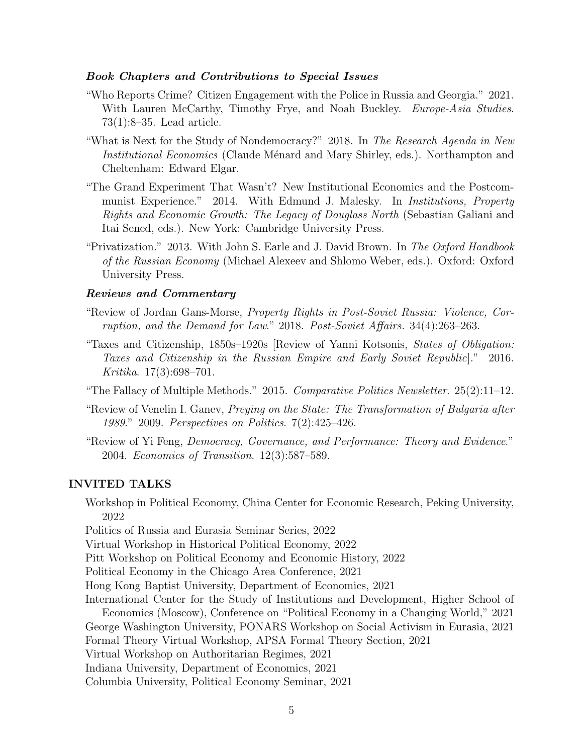#### Book Chapters and Contributions to Special Issues

- "Who Reports Crime? Citizen Engagement with the Police in Russia and Georgia." 2021. With Lauren McCarthy, Timothy Frye, and Noah Buckley. Europe-Asia Studies. 73(1):8–35. Lead article.
- "What is Next for the Study of Nondemocracy?" 2018. In The Research Agenda in New Institutional Economics (Claude Ménard and Mary Shirley, eds.). Northampton and Cheltenham: Edward Elgar.
- "The Grand Experiment That Wasn't? New Institutional Economics and the Postcommunist Experience." 2014. With Edmund J. Malesky. In Institutions, Property Rights and Economic Growth: The Legacy of Douglass North (Sebastian Galiani and Itai Sened, eds.). New York: Cambridge University Press.
- "Privatization." 2013. With John S. Earle and J. David Brown. In The Oxford Handbook of the Russian Economy (Michael Alexeev and Shlomo Weber, eds.). Oxford: Oxford University Press.

### Reviews and Commentary

- "Review of Jordan Gans-Morse, Property Rights in Post-Soviet Russia: Violence, Corruption, and the Demand for Law." 2018. Post-Soviet Affairs. 34(4):263–263.
- "Taxes and Citizenship, 1850s–1920s [Review of Yanni Kotsonis, States of Obligation: Taxes and Citizenship in the Russian Empire and Early Soviet Republic]." 2016. Kritika. 17(3):698–701.
- "The Fallacy of Multiple Methods." 2015. Comparative Politics Newsletter. 25(2):11–12.
- "Review of Venelin I. Ganev, Preying on the State: The Transformation of Bulgaria after 1989." 2009. Perspectives on Politics. 7(2):425–426.
- "Review of Yi Feng, Democracy, Governance, and Performance: Theory and Evidence." 2004. Economics of Transition. 12(3):587–589.

#### INVITED TALKS

Workshop in Political Economy, China Center for Economic Research, Peking University, 2022

Politics of Russia and Eurasia Seminar Series, 2022

Virtual Workshop in Historical Political Economy, 2022

Pitt Workshop on Political Economy and Economic History, 2022

Political Economy in the Chicago Area Conference, 2021

Hong Kong Baptist University, Department of Economics, 2021

International Center for the Study of Institutions and Development, Higher School of Economics (Moscow), Conference on "Political Economy in a Changing World," 2021 George Washington University, PONARS Workshop on Social Activism in Eurasia, 2021 Formal Theory Virtual Workshop, APSA Formal Theory Section, 2021

Virtual Workshop on Authoritarian Regimes, 2021

Indiana University, Department of Economics, 2021

Columbia University, Political Economy Seminar, 2021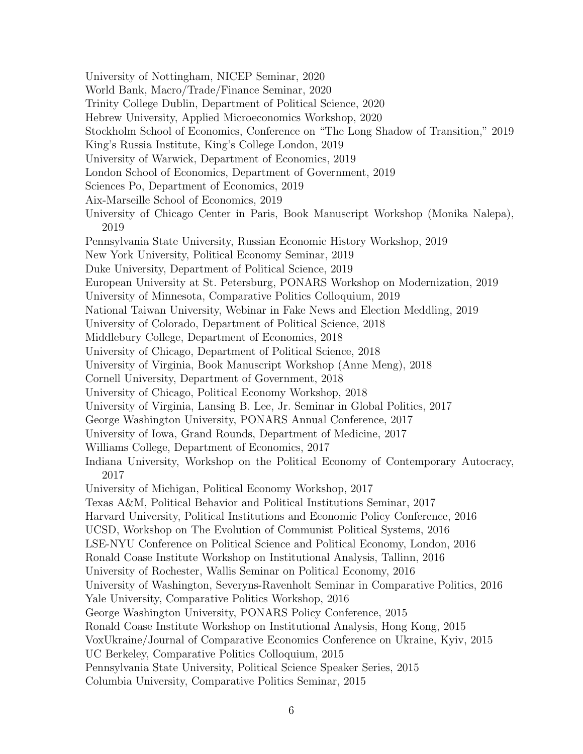University of Nottingham, NICEP Seminar, 2020 World Bank, Macro/Trade/Finance Seminar, 2020 Trinity College Dublin, Department of Political Science, 2020 Hebrew University, Applied Microeconomics Workshop, 2020 Stockholm School of Economics, Conference on "The Long Shadow of Transition," 2019 King's Russia Institute, King's College London, 2019 University of Warwick, Department of Economics, 2019 London School of Economics, Department of Government, 2019 Sciences Po, Department of Economics, 2019 Aix-Marseille School of Economics, 2019 University of Chicago Center in Paris, Book Manuscript Workshop (Monika Nalepa), 2019 Pennsylvania State University, Russian Economic History Workshop, 2019 New York University, Political Economy Seminar, 2019 Duke University, Department of Political Science, 2019 European University at St. Petersburg, PONARS Workshop on Modernization, 2019 University of Minnesota, Comparative Politics Colloquium, 2019 National Taiwan University, Webinar in Fake News and Election Meddling, 2019 University of Colorado, Department of Political Science, 2018 Middlebury College, Department of Economics, 2018 University of Chicago, Department of Political Science, 2018 University of Virginia, Book Manuscript Workshop (Anne Meng), 2018 Cornell University, Department of Government, 2018 University of Chicago, Political Economy Workshop, 2018 University of Virginia, Lansing B. Lee, Jr. Seminar in Global Politics, 2017 George Washington University, PONARS Annual Conference, 2017 University of Iowa, Grand Rounds, Department of Medicine, 2017 Williams College, Department of Economics, 2017 Indiana University, Workshop on the Political Economy of Contemporary Autocracy, 2017 University of Michigan, Political Economy Workshop, 2017 Texas A&M, Political Behavior and Political Institutions Seminar, 2017 Harvard University, Political Institutions and Economic Policy Conference, 2016 UCSD, Workshop on The Evolution of Communist Political Systems, 2016 LSE-NYU Conference on Political Science and Political Economy, London, 2016 Ronald Coase Institute Workshop on Institutional Analysis, Tallinn, 2016 University of Rochester, Wallis Seminar on Political Economy, 2016 University of Washington, Severyns-Ravenholt Seminar in Comparative Politics, 2016 Yale University, Comparative Politics Workshop, 2016 George Washington University, PONARS Policy Conference, 2015 Ronald Coase Institute Workshop on Institutional Analysis, Hong Kong, 2015 VoxUkraine/Journal of Comparative Economics Conference on Ukraine, Kyiv, 2015 UC Berkeley, Comparative Politics Colloquium, 2015 Pennsylvania State University, Political Science Speaker Series, 2015 Columbia University, Comparative Politics Seminar, 2015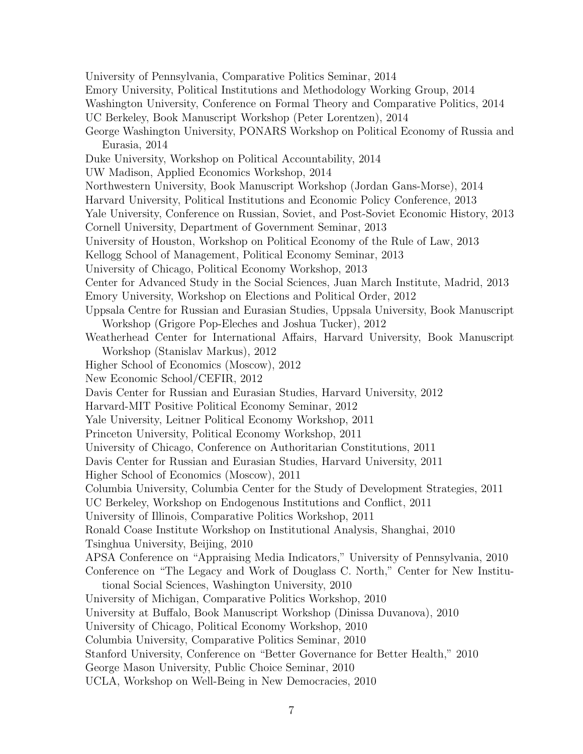University of Pennsylvania, Comparative Politics Seminar, 2014 Emory University, Political Institutions and Methodology Working Group, 2014 Washington University, Conference on Formal Theory and Comparative Politics, 2014 UC Berkeley, Book Manuscript Workshop (Peter Lorentzen), 2014 George Washington University, PONARS Workshop on Political Economy of Russia and Eurasia, 2014 Duke University, Workshop on Political Accountability, 2014 UW Madison, Applied Economics Workshop, 2014 Northwestern University, Book Manuscript Workshop (Jordan Gans-Morse), 2014 Harvard University, Political Institutions and Economic Policy Conference, 2013 Yale University, Conference on Russian, Soviet, and Post-Soviet Economic History, 2013 Cornell University, Department of Government Seminar, 2013 University of Houston, Workshop on Political Economy of the Rule of Law, 2013 Kellogg School of Management, Political Economy Seminar, 2013 University of Chicago, Political Economy Workshop, 2013 Center for Advanced Study in the Social Sciences, Juan March Institute, Madrid, 2013 Emory University, Workshop on Elections and Political Order, 2012 Uppsala Centre for Russian and Eurasian Studies, Uppsala University, Book Manuscript Workshop (Grigore Pop-Eleches and Joshua Tucker), 2012 Weatherhead Center for International Affairs, Harvard University, Book Manuscript Workshop (Stanislav Markus), 2012 Higher School of Economics (Moscow), 2012 New Economic School/CEFIR, 2012 Davis Center for Russian and Eurasian Studies, Harvard University, 2012 Harvard-MIT Positive Political Economy Seminar, 2012 Yale University, Leitner Political Economy Workshop, 2011 Princeton University, Political Economy Workshop, 2011 University of Chicago, Conference on Authoritarian Constitutions, 2011 Davis Center for Russian and Eurasian Studies, Harvard University, 2011 Higher School of Economics (Moscow), 2011 Columbia University, Columbia Center for the Study of Development Strategies, 2011 UC Berkeley, Workshop on Endogenous Institutions and Conflict, 2011 University of Illinois, Comparative Politics Workshop, 2011 Ronald Coase Institute Workshop on Institutional Analysis, Shanghai, 2010 Tsinghua University, Beijing, 2010 APSA Conference on "Appraising Media Indicators," University of Pennsylvania, 2010 Conference on "The Legacy and Work of Douglass C. North," Center for New Institutional Social Sciences, Washington University, 2010 University of Michigan, Comparative Politics Workshop, 2010 University at Buffalo, Book Manuscript Workshop (Dinissa Duvanova), 2010 University of Chicago, Political Economy Workshop, 2010 Columbia University, Comparative Politics Seminar, 2010 Stanford University, Conference on "Better Governance for Better Health," 2010 George Mason University, Public Choice Seminar, 2010 UCLA, Workshop on Well-Being in New Democracies, 2010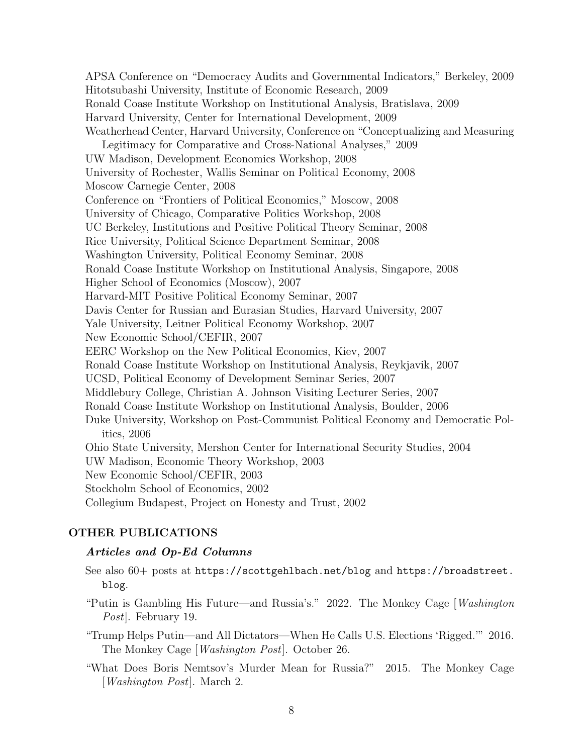APSA Conference on "Democracy Audits and Governmental Indicators," Berkeley, 2009 Hitotsubashi University, Institute of Economic Research, 2009 Ronald Coase Institute Workshop on Institutional Analysis, Bratislava, 2009 Harvard University, Center for International Development, 2009 Weatherhead Center, Harvard University, Conference on "Conceptualizing and Measuring Legitimacy for Comparative and Cross-National Analyses," 2009 UW Madison, Development Economics Workshop, 2008 University of Rochester, Wallis Seminar on Political Economy, 2008 Moscow Carnegie Center, 2008 Conference on "Frontiers of Political Economics," Moscow, 2008 University of Chicago, Comparative Politics Workshop, 2008 UC Berkeley, Institutions and Positive Political Theory Seminar, 2008 Rice University, Political Science Department Seminar, 2008 Washington University, Political Economy Seminar, 2008 Ronald Coase Institute Workshop on Institutional Analysis, Singapore, 2008 Higher School of Economics (Moscow), 2007 Harvard-MIT Positive Political Economy Seminar, 2007 Davis Center for Russian and Eurasian Studies, Harvard University, 2007 Yale University, Leitner Political Economy Workshop, 2007 New Economic School/CEFIR, 2007 EERC Workshop on the New Political Economics, Kiev, 2007 Ronald Coase Institute Workshop on Institutional Analysis, Reykjavik, 2007 UCSD, Political Economy of Development Seminar Series, 2007 Middlebury College, Christian A. Johnson Visiting Lecturer Series, 2007 Ronald Coase Institute Workshop on Institutional Analysis, Boulder, 2006 Duke University, Workshop on Post-Communist Political Economy and Democratic Politics, 2006 Ohio State University, Mershon Center for International Security Studies, 2004 UW Madison, Economic Theory Workshop, 2003 New Economic School/CEFIR, 2003 Stockholm School of Economics, 2002 Collegium Budapest, Project on Honesty and Trust, 2002

# OTHER PUBLICATIONS

#### Articles and Op-Ed Columns

See also 60+ posts at https://scottgehlbach.net/blog and https://broadstreet. blog.

"Putin is Gambling His Future—and Russia's." 2022. The Monkey Cage  $\langle Washington \rangle$ Post]. February 19.

"Trump Helps Putin—and All Dictators—When He Calls U.S. Elections 'Rigged.'" 2016. The Monkey Cage [Washington Post]. October 26.

"What Does Boris Nemtsov's Murder Mean for Russia?" 2015. The Monkey Cage [Washington Post]. March 2.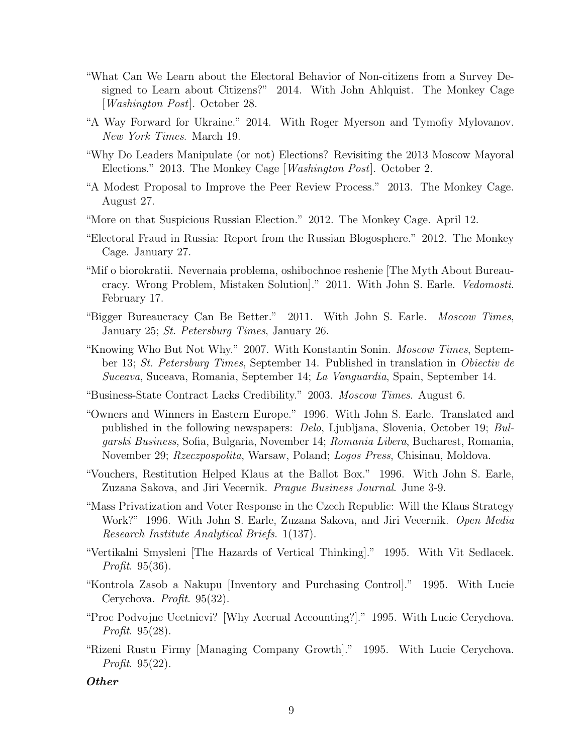- "What Can We Learn about the Electoral Behavior of Non-citizens from a Survey Designed to Learn about Citizens?" 2014. With John Ahlquist. The Monkey Cage [Washington Post]. October 28.
- "A Way Forward for Ukraine." 2014. With Roger Myerson and Tymofiy Mylovanov. New York Times. March 19.
- "Why Do Leaders Manipulate (or not) Elections? Revisiting the 2013 Moscow Mayoral Elections." 2013. The Monkey Cage [Washington Post]. October 2.
- "A Modest Proposal to Improve the Peer Review Process." 2013. The Monkey Cage. August 27.
- "More on that Suspicious Russian Election." 2012. The Monkey Cage. April 12.
- "Electoral Fraud in Russia: Report from the Russian Blogosphere." 2012. The Monkey Cage. January 27.
- "Mif o biorokratii. Nevernaia problema, oshibochnoe reshenie [The Myth About Bureaucracy. Wrong Problem, Mistaken Solution]." 2011. With John S. Earle. Vedomosti. February 17.
- "Bigger Bureaucracy Can Be Better." 2011. With John S. Earle. Moscow Times, January 25; St. Petersburg Times, January 26.
- "Knowing Who But Not Why." 2007. With Konstantin Sonin. Moscow Times, September 13; St. Petersburg Times, September 14. Published in translation in Obiectiv de Suceava, Suceava, Romania, September 14; La Vanguardia, Spain, September 14.
- "Business-State Contract Lacks Credibility." 2003. Moscow Times. August 6.
- "Owners and Winners in Eastern Europe." 1996. With John S. Earle. Translated and published in the following newspapers: Delo, Ljubljana, Slovenia, October 19; Bulgarski Business, Sofia, Bulgaria, November 14; Romania Libera, Bucharest, Romania, November 29; Rzeczpospolita, Warsaw, Poland; Logos Press, Chisinau, Moldova.
- "Vouchers, Restitution Helped Klaus at the Ballot Box." 1996. With John S. Earle, Zuzana Sakova, and Jiri Vecernik. *Prague Business Journal*. June 3-9.
- "Mass Privatization and Voter Response in the Czech Republic: Will the Klaus Strategy Work?" 1996. With John S. Earle, Zuzana Sakova, and Jiri Vecernik. Open Media Research Institute Analytical Briefs. 1(137).
- "Vertikalni Smysleni [The Hazards of Vertical Thinking]." 1995. With Vit Sedlacek. Profit. 95(36).
- "Kontrola Zasob a Nakupu [Inventory and Purchasing Control]." 1995. With Lucie Cerychova. Profit. 95(32).
- "Proc Podvojne Ucetnicvi? [Why Accrual Accounting?]." 1995. With Lucie Cerychova. Profit. 95(28).
- "Rizeni Rustu Firmy [Managing Company Growth]." 1995. With Lucie Cerychova. Profit. 95(22).

# Other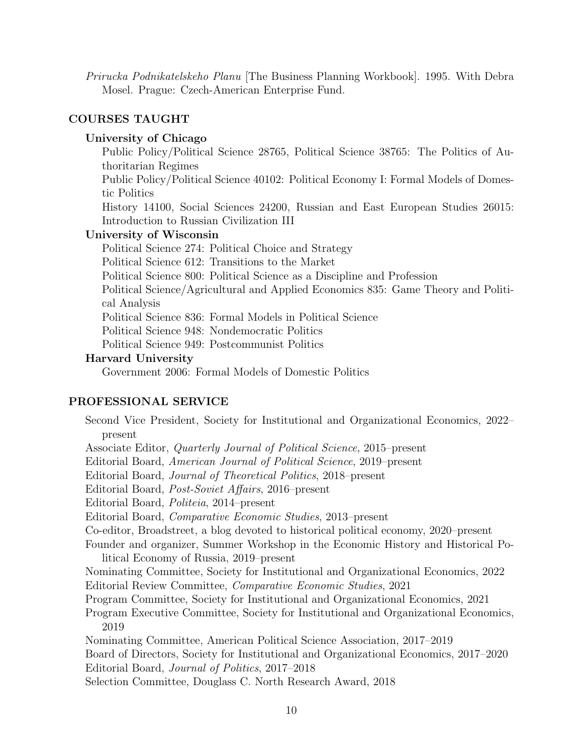Prirucka Podnikatelskeho Planu [The Business Planning Workbook]. 1995. With Debra Mosel. Prague: Czech-American Enterprise Fund.

# COURSES TAUGHT

# University of Chicago

Public Policy/Political Science 28765, Political Science 38765: The Politics of Authoritarian Regimes

Public Policy/Political Science 40102: Political Economy I: Formal Models of Domestic Politics

History 14100, Social Sciences 24200, Russian and East European Studies 26015: Introduction to Russian Civilization III

# University of Wisconsin

Political Science 274: Political Choice and Strategy Political Science 612: Transitions to the Market Political Science 800: Political Science as a Discipline and Profession Political Science/Agricultural and Applied Economics 835: Game Theory and Political Analysis Political Science 836: Formal Models in Political Science Political Science 948: Nondemocratic Politics Political Science 949: Postcommunist Politics

### Harvard University

Government 2006: Formal Models of Domestic Politics

## PROFESSIONAL SERVICE

Second Vice President, Society for Institutional and Organizational Economics, 2022– present Associate Editor, Quarterly Journal of Political Science, 2015–present Editorial Board, American Journal of Political Science, 2019–present Editorial Board, Journal of Theoretical Politics, 2018–present Editorial Board, Post-Soviet Affairs, 2016–present Editorial Board, Politeia, 2014–present Editorial Board, Comparative Economic Studies, 2013–present Co-editor, Broadstreet, a blog devoted to historical political economy, 2020–present Founder and organizer, Summer Workshop in the Economic History and Historical Political Economy of Russia, 2019–present Nominating Committee, Society for Institutional and Organizational Economics, 2022 Editorial Review Committee, Comparative Economic Studies, 2021 Program Committee, Society for Institutional and Organizational Economics, 2021 Program Executive Committee, Society for Institutional and Organizational Economics, 2019 Nominating Committee, American Political Science Association, 2017–2019 Board of Directors, Society for Institutional and Organizational Economics, 2017–2020 Editorial Board, Journal of Politics, 2017–2018 Selection Committee, Douglass C. North Research Award, 2018